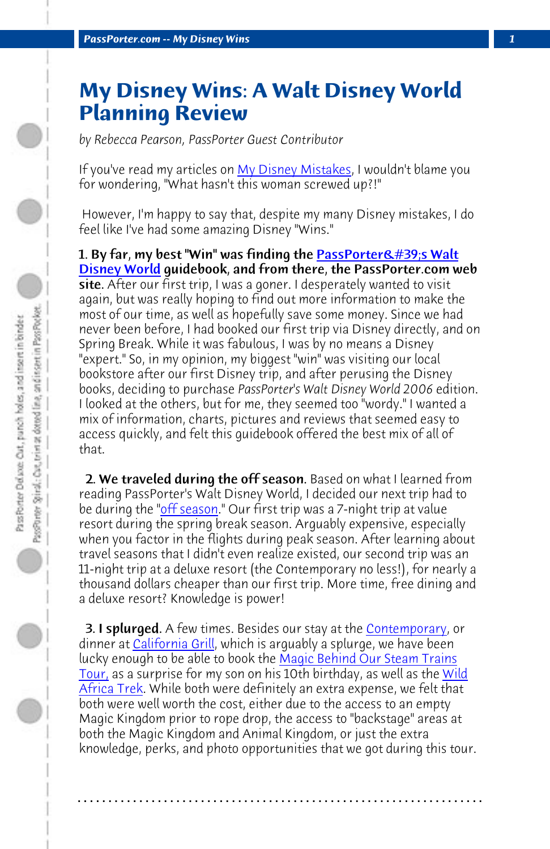**PassPorter.com -- My Disney Wins** 

## **My Disney Wins: A Walt Disney World Planning Review**

*by Rebecca Pearson, PassPorter Guest Contributor*

If you've read my articles on My Disney Mistakes, I wouldn't blame you for wondering, "What hasn't this woman screwed up?!"

 However, I'm happy to say that, despite my many Disney mistakes, I do feel like I've had some amazing Disney "Wins."

1. By far, my [best "Win"](http://www.passporter.com/articles/walt-disney-world-off-season.html) was finding the **PassPorter's Walt** Disney World guidebook, and from there, the PassPorter.com web site. After our first trip, I was a goner. I desperately wanted to visit again, but was really hoping to find out more information to make the most of our time, as well as hopefully save some money. Since we had never been before, I had booked our first trip via Disney directly, and on Spring Break. While it was fabulous, I was by no means a Disney "expert." So, in my opinion, my biggest "win" was visiting our local bookstore after our first Disney trip, and after peru[sing the Disney](http://www.passporter.com/articles/disneys-contemporary-resort-review.html) books, de[ciding to purch](http://www.passporter.com/articles/new-california-grill-dining-review.php)ase *PassPorter's Walt Disney World 2006* edition. I looked at the others, but for me, th[ey seemed too "wordy." I wanted](http://www.passporter.com/articles/disneys-magic-behind-our-steam-train.html) a [mix o](http://www.passporter.com/articles/disneys-magic-behind-our-steam-train.html)f information, charts, pictures and reviews that seemed eas[y to](http://www.passporter.com/articles/wild-africa-trek-tour-disneys-animal-kingdom.html) [access quic](http://www.passporter.com/articles/wild-africa-trek-tour-disneys-animal-kingdom.html)kly, and felt this guidebook offered the best mix of all of that.

2. We traveled during the off season. Based on what I learned from reading PassPorter's Walt Disney World, I decided our next trip had to be during the "<u>off season</u>." Our first trip was a 7-night trip at value resort during the spring break season. Arguably expensive, especially when you factor in the flights during peak season. After learning about travel seasons that I didn't even realize existed, our second trip was an 11-night trip at a deluxe resort (the Contemporary no less!), for nearly a thousand dollars cheaper than our first trip. More time, free dining and a deluxe resort? Knowledge is power!

**3. I splurged.** A few times. Besides our stay at the Contemporary, or dinner at California Grill, which is arguably a splurge, we have been lucky enough to be able to book the Magic Behind Our Steam Trains Tour, as a surprise for my son on his 10th birthday, as well as the Wild Africa Trek. While both were definitely an extra expense, we felt that both were well worth the cost, either due to the access to an empty Magic Kingdom prior to rope drop, the access to "backstage" areas at both the Magic Kingdom and Animal Kingdom, or just the extra knowledge, perks, and photo opportunities that we got during this tour.

**. . . . . . . . . . . . . . . . . . . . . . . . . . . . . . . . . . . . . . . . . . . . . . . . . . . . . . . . . . . . . . . . . .**

 $\bigcirc$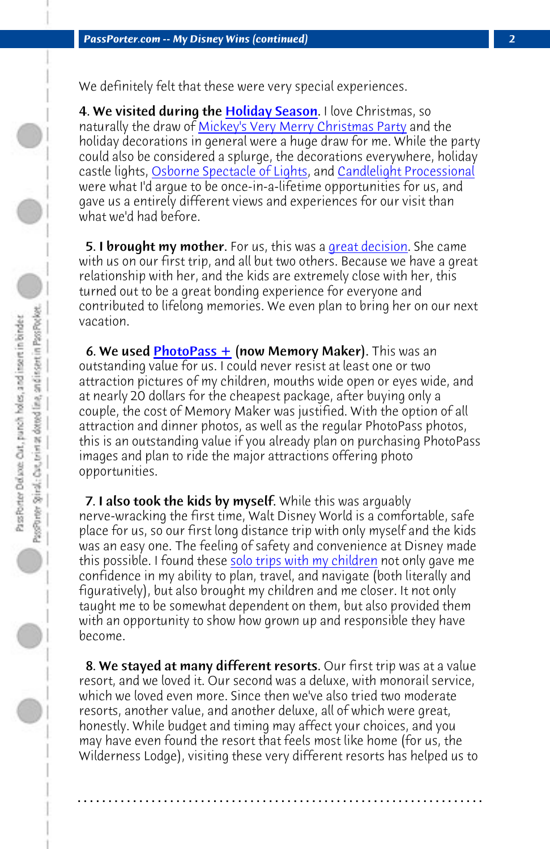We definitely felt that these were very special experiences.

4. We visite[d during the H](http://www.passporter.com/articles/disneys-photopass-plus-review.html)oliday Season. I love Christmas, so naturally the draw of Mickey's Very Merry Christmas Party and the holiday decorations in general were a huge draw for me. While the party could also be considered a splurge, the decorations everywhere, holiday castle lights, Osborne Spectacle of Lights, and Candlelight Processional were what I'd argue to be once-in-a-lifetime opportunities for us, and gave us a entirely different views and experiences for our visit than what we'd had before.

5. I brought my mother. For us, this was a great decision. She came with us on our first trip, and all but two others. Because we have a great relationship with her, and the kids are extremely close with her, this turned out to be a great bonding experience for everyone and contributed to lifelong me[mories. We even plan to brin](http://www.passporter.com/articles/tips-for-traveling-as-a-solo-parent.html)g her on our next vacation.

6. We used  $PhotoPass +$  (now Memory Maker). This was an</u> outstanding value for us. I could never resist at least one or two attraction pictures of my children, mouths wide open or eyes wide, and at nearly 20 dollars for the cheapest package, after buying only a couple, the cost of Memory Maker was justified. With the option of all attraction and dinner photos, as well as the regular PhotoPass photos, this is an outstanding value if you already plan on purchasing PhotoPass images and plan to ride the major attractions offering photo opportunities.

**7. I also took the kids by myself.** While this was arguably nerve-wracking the first time, Walt Disney World is a comfortable, safe place for us, so our first long distance trip with only myself and the kids was an easy one. The feeling of safety and convenience at Disney made this possible. I found these solo trips with my children not only gave me confidence in my ability to plan, travel, and navigate (both literally and figuratively), but also brought my children and me closer. It not only taught me to be somewhat dependent on them, but also provided them with an opportunity to show how grown up and responsible they have become.

8. We stayed at many different resorts. Our first trip was at a value resort, and we loved it. Our second was a deluxe, with monorail service, which we loved even more. Since then we've also tried two moderate resorts, another value, and another deluxe, all of which were great, honestly. While budget and timing may affect your choices, and you may have even found the resort that feels most like home (for us, the Wilderness Lodge), visiting these very different resorts has helped us to

**. . . . . . . . . . . . . . . . . . . . . . . . . . . . . . . . . . . . . . . . . . . . . . . . . . . . . . . . . . . . . . . . . .**